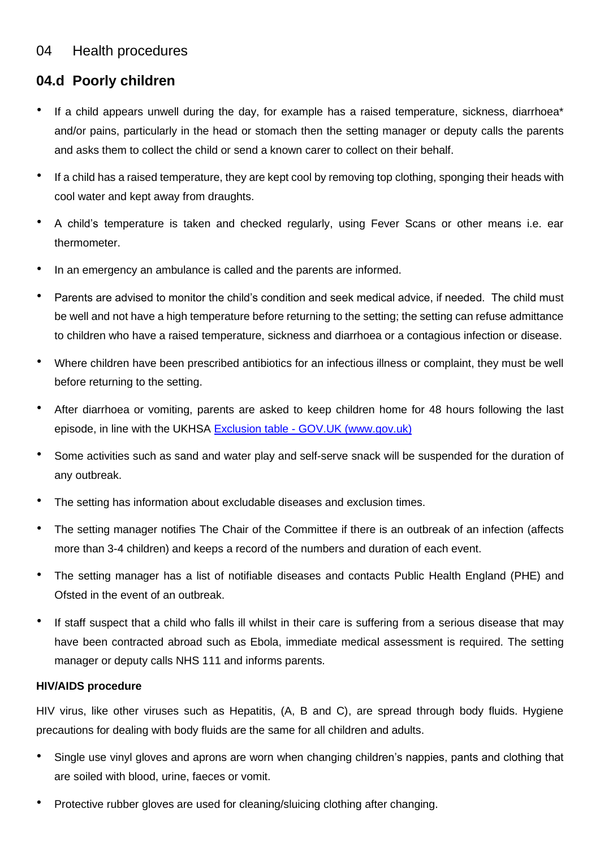# 04 Health procedures

# **04.d Poorly children**

- If a child appears unwell during the day, for example has a raised temperature, sickness, diarrhoea\* and/or pains, particularly in the head or stomach then the setting manager or deputy calls the parents and asks them to collect the child or send a known carer to collect on their behalf.
- If a child has a raised temperature, they are kept cool by removing top clothing, sponging their heads with cool water and kept away from draughts.
- A child's temperature is taken and checked regularly, using Fever Scans or other means i.e. ear thermometer.
- In an emergency an ambulance is called and the parents are informed.
- Parents are advised to monitor the child's condition and seek medical advice, if needed. The child must be well and not have a high temperature before returning to the setting; the setting can refuse admittance to children who have a raised temperature, sickness and diarrhoea or a contagious infection or disease.
- Where children have been prescribed antibiotics for an infectious illness or complaint, they must be well before returning to the setting.
- After diarrhoea or vomiting, parents are asked to keep children home for 48 hours following the last episode, in line with the UKHSA Exclusion table - [GOV.UK \(www.gov.uk\)](https://www.gov.uk/government/publications/health-protection-in-schools-and-other-childcare-facilities/exclusion-table)
- Some activities such as sand and water play and self-serve snack will be suspended for the duration of any outbreak.
- The setting has information about excludable diseases and exclusion times.
- The setting manager notifies The Chair of the Committee if there is an outbreak of an infection (affects more than 3-4 children) and keeps a record of the numbers and duration of each event.
- The setting manager has a list of notifiable diseases and contacts Public Health England (PHE) and Ofsted in the event of an outbreak.
- If staff suspect that a child who falls ill whilst in their care is suffering from a serious disease that may have been contracted abroad such as Ebola, immediate medical assessment is required. The setting manager or deputy calls NHS 111 and informs parents.

# **HIV/AIDS procedure**

HIV virus, like other viruses such as Hepatitis, (A, B and C), are spread through body fluids. Hygiene precautions for dealing with body fluids are the same for all children and adults.

- Single use vinyl gloves and aprons are worn when changing children's nappies, pants and clothing that are soiled with blood, urine, faeces or vomit.
- Protective rubber gloves are used for cleaning/sluicing clothing after changing.